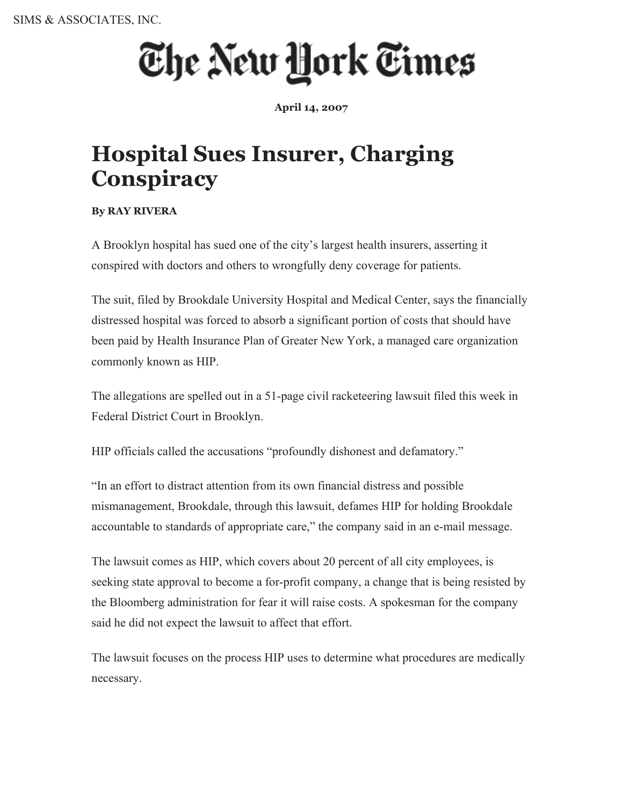## The New York Times

**April 14, 2007**

## **Hospital Sues Insurer, Charging Conspiracy**

## **By RAY RIVERA**

A Brooklyn hospital has sued one of the city's largest health insurers, asserting it conspired with doctors and others to wrongfully deny coverage for patients.

The suit, filed by Brookdale University Hospital and Medical Center, says the financially distressed hospital was forced to absorb a significant portion of costs that should have been paid by Health Insurance Plan of Greater New York, a managed care organization commonly known as HIP.

The allegations are spelled out in a 51-page civil racketeering lawsuit filed this week in Federal District Court in Brooklyn.

HIP officials called the accusations "profoundly dishonest and defamatory."

"In an effort to distract attention from its own financial distress and possible mismanagement, Brookdale, through this lawsuit, defames HIP for holding Brookdale accountable to standards of appropriate care," the company said in an e-mail message.

The lawsuit comes as HIP, which covers about 20 percent of all city employees, is seeking state approval to become a for-profit company, a change that is being resisted by the Bloomberg administration for fear it will raise costs. A spokesman for the company said he did not expect the lawsuit to affect that effort.

The lawsuit focuses on the process HIP uses to determine what procedures are medically necessary.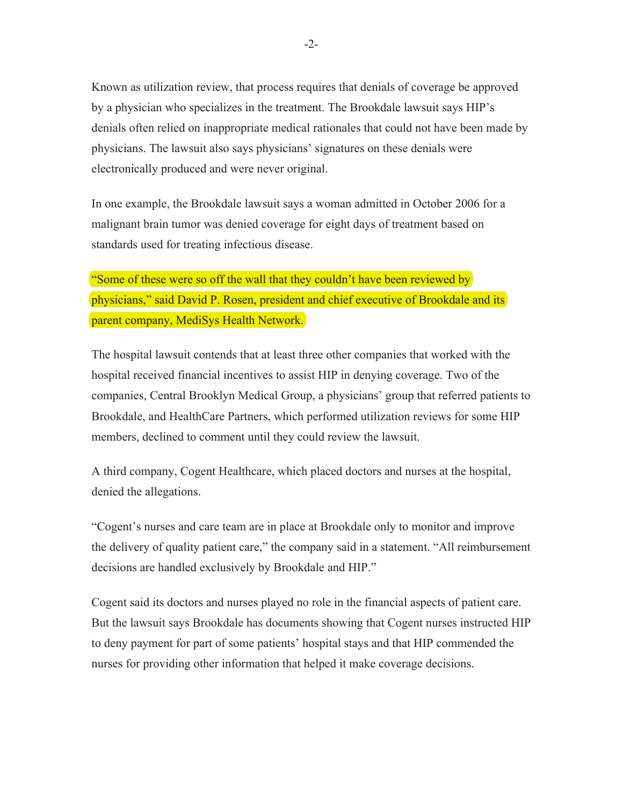Known as utilization review, that process requires that denials of coverage be approved by a physician who specializes in the treatment. The Brookdale lawsuit says HIP's denials often relied on inappropriate medical rationales that could not have been made by physicians. The lawsuit also says physicians' signatures on these denials were electronically produced and were never original.

In one example, the Brookdale lawsuit says a woman admitted in October 2006 for a malignant brain tumor was denied coverage for eight days of treatment based on standards used for treating infectious disease.

"Some of these were so off the wall that they couldn't have been reviewed by physicians," said David P. Rosen, president and chief executive of Brookdale and its parent company, MediSys Health Network.

The hospital lawsuit contends that at least three other companies that worked with the hospital received financial incentives to assist HIP in denying coverage. Two of the companies, Central Brooklyn Medical Group, a physicians' group that referred patients to Brookdale, and HealthCare Partners, which performed utilization reviews for some HIP members, declined to comment until they could review the lawsuit.

A third company, Cogent Healthcare, which placed doctors and nurses at the hospital, denied the allegations.

"Cogent's nurses and care team are in place at Brookdale only to monitor and improve the delivery of quality patient care," the company said in a statement. "All reimbursement decisions are handled exclusively by Brookdale and HIP."

Cogent said its doctors and nurses played no role in the financial aspects of patient care. But the lawsuit says Brookdale has documents showing that Cogent nurses instructed HIP to deny payment for part of some patients' hospital stays and that HIP commended the nurses for providing other information that helped it make coverage decisions.